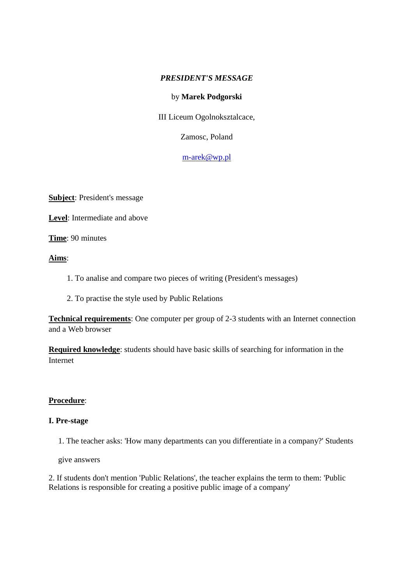### *PRESIDENT'S MESSAGE*

## by **Marek Podgorski**

III Liceum Ogolnoksztalcace,

Zamosc, Poland

# m-arek@wp.pl

**Subject**: President's message

**Level**: Intermediate and above

**Time**: 90 minutes

## **Aims**:

- 1. To analise and compare two pieces of writing (President's messages)
- 2. To practise the style used by Public Relations

**Technical requirements**: One computer per group of 2-3 students with an Internet connection and a Web browser

**Required knowledge**: students should have basic skills of searching for information in the Internet

# **Procedure**:

### **I. Pre-stage**

1. The teacher asks: 'How many departments can you differentiate in a company?' Students

give answers

2. If students don't mention 'Public Relations', the teacher explains the term to them: 'Public Relations is responsible for creating a positive public image of a company'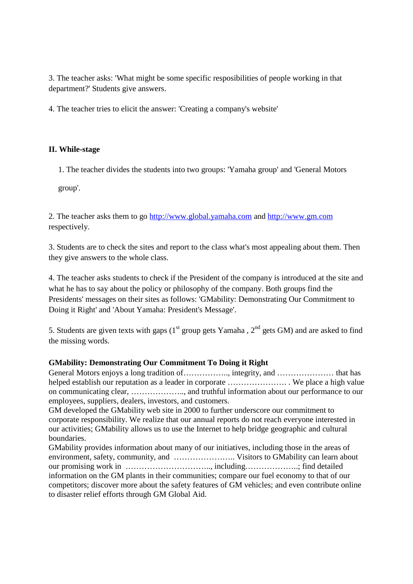3. The teacher asks: 'What might be some specific resposibilities of people working in that department?' Students give answers.

4. The teacher tries to elicit the answer: 'Creating a company's website'

## **II. While-stage**

1. The teacher divides the students into two groups: 'Yamaha group' and 'General Motors

group'.

2. The teacher asks them to go http://www.global.yamaha.com and http://www.gm.com respectively.

3. Students are to check the sites and report to the class what's most appealing about them. Then they give answers to the whole class.

4. The teacher asks students to check if the President of the company is introduced at the site and what he has to say about the policy or philosophy of the company. Both groups find the Presidents' messages on their sites as follows: 'GMability: Demonstrating Our Commitment to Doing it Right' and 'About Yamaha: President's Message'.

5. Students are given texts with gaps  $(1<sup>st</sup>$  group gets Yamaha,  $2<sup>nd</sup>$  gets GM) and are asked to find the missing words.

# **GMability: Demonstrating Our Commitment To Doing it Right**

General Motors enjoys a long tradition of…………….., integrity, and ………………… that has helped establish our reputation as a leader in corporate ........................... We place a high value on communicating clear, ……………….., and truthful information about our performance to our employees, suppliers, dealers, investors, and customers.

GM developed the GMability web site in 2000 to further underscore our commitment to corporate responsibility. We realize that our annual reports do not reach everyone interested in our activities; GMability allows us to use the Internet to help bridge geographic and cultural boundaries.

GMability provides information about many of our initiatives, including those in the areas of environment, safety, community, and ………………….. Visitors to GMability can learn about our promising work in ………………………….., including………………..; find detailed information on the GM plants in their communities; compare our fuel economy to that of our competitors; discover more about the safety features of GM vehicles; and even contribute online to disaster relief efforts through GM Global Aid.